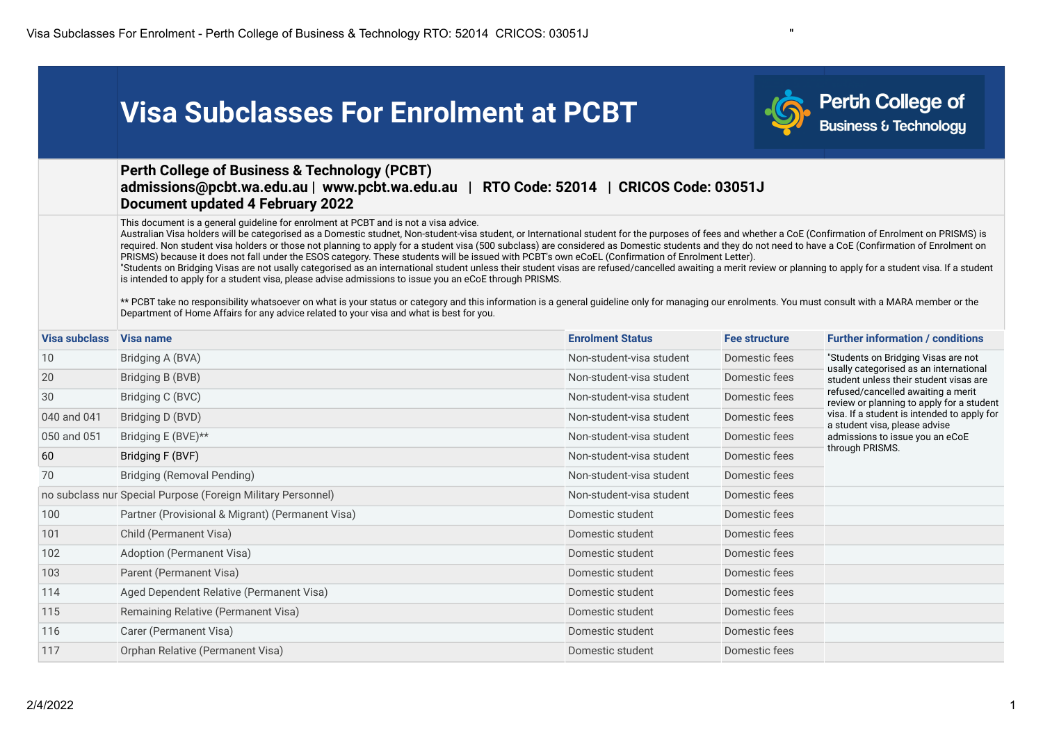|               | <b>Visa Subclasses For Enrolment at PCBT</b>                                                                                                                                                                                                                                                                                                                                                                                                                                                                                                                                                                                                                                                                                                                                                                                                                                                                                                                                                                                                                                                                                                                                                                                                                                                           |                                       |               | <b>Perth College of</b><br>Business & Technology                                 |
|---------------|--------------------------------------------------------------------------------------------------------------------------------------------------------------------------------------------------------------------------------------------------------------------------------------------------------------------------------------------------------------------------------------------------------------------------------------------------------------------------------------------------------------------------------------------------------------------------------------------------------------------------------------------------------------------------------------------------------------------------------------------------------------------------------------------------------------------------------------------------------------------------------------------------------------------------------------------------------------------------------------------------------------------------------------------------------------------------------------------------------------------------------------------------------------------------------------------------------------------------------------------------------------------------------------------------------|---------------------------------------|---------------|----------------------------------------------------------------------------------|
|               | <b>Perth College of Business &amp; Technology (PCBT)</b><br>admissions@pcbt.wa.edu.au   www.pcbt.wa.edu.au<br><b>Document updated 4 February 2022</b>                                                                                                                                                                                                                                                                                                                                                                                                                                                                                                                                                                                                                                                                                                                                                                                                                                                                                                                                                                                                                                                                                                                                                  | RTO Code: 52014   CRICOS Code: 03051J |               |                                                                                  |
|               | This document is a general guideline for enrolment at PCBT and is not a visa advice.<br>Australian Visa holders will be categorised as a Domestic studnet, Non-student-visa student, or International student for the purposes of fees and whether a CoE (Confirmation of Enrolment on PRISMS) is<br>required. Non student visa holders or those not planning to apply for a student visa (500 subclass) are considered as Domestic students and they do not need to have a CoE (Confirmation of Enrolment on<br>PRISMS) because it does not fall under the ESOS category. These students will be issued with PCBT's own eCoEL (Confirmation of Enrolment Letter).<br>"Students on Bridging Visas are not usally categorised as an international student unless their student visas are refused/cancelled awaiting a merit review or planning to apply for a student visa. If a student<br>is intended to apply for a student visa, please advise admissions to issue you an eCoE through PRISMS.<br>** PCBT take no responsibility whatsoever on what is your status or category and this information is a general guideline only for managing our enrolments. You must consult with a MARA member or the<br>Department of Home Affairs for any advice related to your visa and what is best for you. |                                       |               |                                                                                  |
| Visa subclass | Visa name                                                                                                                                                                                                                                                                                                                                                                                                                                                                                                                                                                                                                                                                                                                                                                                                                                                                                                                                                                                                                                                                                                                                                                                                                                                                                              | <b>Enrolment Status</b>               | Fee structure | <b>Further information / conditions</b>                                          |
| 10            | Bridging A (BVA)                                                                                                                                                                                                                                                                                                                                                                                                                                                                                                                                                                                                                                                                                                                                                                                                                                                                                                                                                                                                                                                                                                                                                                                                                                                                                       | Non-student-visa student              | Domestic fees | "Students on Bridging Visas are not                                              |
| 20            | Bridging B (BVB)                                                                                                                                                                                                                                                                                                                                                                                                                                                                                                                                                                                                                                                                                                                                                                                                                                                                                                                                                                                                                                                                                                                                                                                                                                                                                       | Non-student-visa student              | Domestic fees | usally categorised as an international<br>student unless their student visas are |
| 30            | Bridging C (BVC)                                                                                                                                                                                                                                                                                                                                                                                                                                                                                                                                                                                                                                                                                                                                                                                                                                                                                                                                                                                                                                                                                                                                                                                                                                                                                       | Non-student-visa student              | Domestic fees | refused/cancelled awaiting a merit<br>review or planning to apply for a student  |
| 040 and 041   | Bridging D (BVD)                                                                                                                                                                                                                                                                                                                                                                                                                                                                                                                                                                                                                                                                                                                                                                                                                                                                                                                                                                                                                                                                                                                                                                                                                                                                                       | Non-student-visa student              | Domestic fees | visa. If a student is intended to apply for<br>a student visa, please advise     |
| 050 and 051   | Bridging E (BVE)**                                                                                                                                                                                                                                                                                                                                                                                                                                                                                                                                                                                                                                                                                                                                                                                                                                                                                                                                                                                                                                                                                                                                                                                                                                                                                     | Non-student-visa student              | Domestic fees | admissions to issue you an eCoE                                                  |
| 60            | Bridging F (BVF)                                                                                                                                                                                                                                                                                                                                                                                                                                                                                                                                                                                                                                                                                                                                                                                                                                                                                                                                                                                                                                                                                                                                                                                                                                                                                       | Non-student-visa student              | Domestic fees | through PRISMS.                                                                  |
| 70            | <b>Bridging (Removal Pending)</b>                                                                                                                                                                                                                                                                                                                                                                                                                                                                                                                                                                                                                                                                                                                                                                                                                                                                                                                                                                                                                                                                                                                                                                                                                                                                      | Non-student-visa student              | Domestic fees |                                                                                  |
|               | no subclass nur Special Purpose (Foreign Military Personnel)                                                                                                                                                                                                                                                                                                                                                                                                                                                                                                                                                                                                                                                                                                                                                                                                                                                                                                                                                                                                                                                                                                                                                                                                                                           | Non-student-visa student              | Domestic fees |                                                                                  |
| 100           | Partner (Provisional & Migrant) (Permanent Visa)                                                                                                                                                                                                                                                                                                                                                                                                                                                                                                                                                                                                                                                                                                                                                                                                                                                                                                                                                                                                                                                                                                                                                                                                                                                       | Domestic student                      | Domestic fees |                                                                                  |
| 101           | Child (Permanent Visa)                                                                                                                                                                                                                                                                                                                                                                                                                                                                                                                                                                                                                                                                                                                                                                                                                                                                                                                                                                                                                                                                                                                                                                                                                                                                                 | Domestic student                      | Domestic fees |                                                                                  |
| 102           | Adoption (Permanent Visa)                                                                                                                                                                                                                                                                                                                                                                                                                                                                                                                                                                                                                                                                                                                                                                                                                                                                                                                                                                                                                                                                                                                                                                                                                                                                              | Domestic student                      | Domestic fees |                                                                                  |
| 103           | Parent (Permanent Visa)                                                                                                                                                                                                                                                                                                                                                                                                                                                                                                                                                                                                                                                                                                                                                                                                                                                                                                                                                                                                                                                                                                                                                                                                                                                                                | Domestic student                      | Domestic fees |                                                                                  |
| 114           | Aged Dependent Relative (Permanent Visa)                                                                                                                                                                                                                                                                                                                                                                                                                                                                                                                                                                                                                                                                                                                                                                                                                                                                                                                                                                                                                                                                                                                                                                                                                                                               | Domestic student                      | Domestic fees |                                                                                  |
| 115           | Remaining Relative (Permanent Visa)                                                                                                                                                                                                                                                                                                                                                                                                                                                                                                                                                                                                                                                                                                                                                                                                                                                                                                                                                                                                                                                                                                                                                                                                                                                                    | Domestic student                      | Domestic fees |                                                                                  |
| 116           | Carer (Permanent Visa)                                                                                                                                                                                                                                                                                                                                                                                                                                                                                                                                                                                                                                                                                                                                                                                                                                                                                                                                                                                                                                                                                                                                                                                                                                                                                 | Domestic student                      | Domestic fees |                                                                                  |
| 117           | Orphan Relative (Permanent Visa)                                                                                                                                                                                                                                                                                                                                                                                                                                                                                                                                                                                                                                                                                                                                                                                                                                                                                                                                                                                                                                                                                                                                                                                                                                                                       | Domestic student                      | Domestic fees |                                                                                  |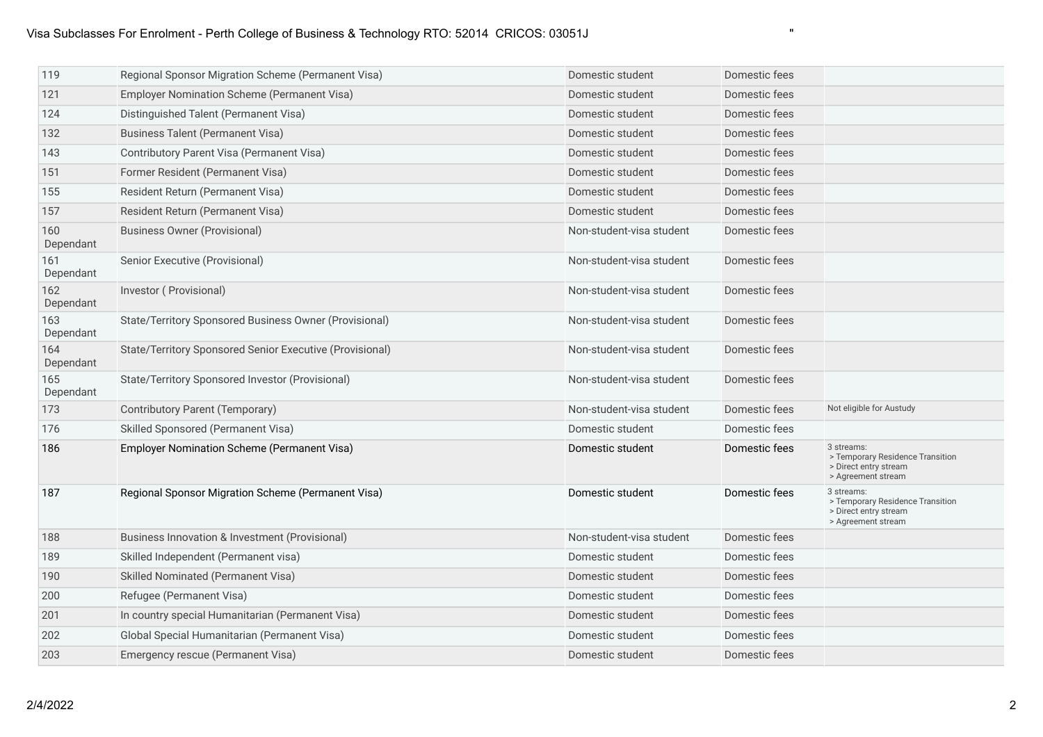# Visa Subclasses For Enrolment - Perth College of Business & Technology RTO: 52014 CRICOS: 03051J "

| 119              | Regional Sponsor Migration Scheme (Permanent Visa)       | Domestic student         | Domestic fees |                                                                                               |
|------------------|----------------------------------------------------------|--------------------------|---------------|-----------------------------------------------------------------------------------------------|
| 121              | Employer Nomination Scheme (Permanent Visa)              | Domestic student         | Domestic fees |                                                                                               |
| 124              | Distinguished Talent (Permanent Visa)                    | Domestic student         | Domestic fees |                                                                                               |
| 132              | <b>Business Talent (Permanent Visa)</b>                  | Domestic student         | Domestic fees |                                                                                               |
| 143              | Contributory Parent Visa (Permanent Visa)                | Domestic student         | Domestic fees |                                                                                               |
| 151              | Former Resident (Permanent Visa)                         | Domestic student         | Domestic fees |                                                                                               |
| 155              | Resident Return (Permanent Visa)                         | Domestic student         | Domestic fees |                                                                                               |
| 157              | Resident Return (Permanent Visa)                         | Domestic student         | Domestic fees |                                                                                               |
| 160<br>Dependant | <b>Business Owner (Provisional)</b>                      | Non-student-visa student | Domestic fees |                                                                                               |
| 161<br>Dependant | Senior Executive (Provisional)                           | Non-student-visa student | Domestic fees |                                                                                               |
| 162<br>Dependant | Investor (Provisional)                                   | Non-student-visa student | Domestic fees |                                                                                               |
| 163<br>Dependant | State/Territory Sponsored Business Owner (Provisional)   | Non-student-visa student | Domestic fees |                                                                                               |
| 164<br>Dependant | State/Territory Sponsored Senior Executive (Provisional) | Non-student-visa student | Domestic fees |                                                                                               |
| 165<br>Dependant | State/Territory Sponsored Investor (Provisional)         | Non-student-visa student | Domestic fees |                                                                                               |
| 173              | Contributory Parent (Temporary)                          | Non-student-visa student | Domestic fees | Not eligible for Austudy                                                                      |
| 176              | Skilled Sponsored (Permanent Visa)                       | Domestic student         | Domestic fees |                                                                                               |
| 186              | Employer Nomination Scheme (Permanent Visa)              | Domestic student         | Domestic fees | 3 streams:<br>> Temporary Residence Transition<br>> Direct entry stream<br>> Agreement stream |
| 187              | Regional Sponsor Migration Scheme (Permanent Visa)       | Domestic student         | Domestic fees | 3 streams:<br>> Temporary Residence Transition<br>> Direct entry stream<br>> Agreement stream |
| 188              | Business Innovation & Investment (Provisional)           | Non-student-visa student | Domestic fees |                                                                                               |
| 189              | Skilled Independent (Permanent visa)                     | Domestic student         | Domestic fees |                                                                                               |
| 190              | Skilled Nominated (Permanent Visa)                       | Domestic student         | Domestic fees |                                                                                               |
| 200              | Refugee (Permanent Visa)                                 | Domestic student         | Domestic fees |                                                                                               |
| 201              | In country special Humanitarian (Permanent Visa)         | Domestic student         | Domestic fees |                                                                                               |
| 202              | Global Special Humanitarian (Permanent Visa)             | Domestic student         | Domestic fees |                                                                                               |
| 203              | Emergency rescue (Permanent Visa)                        | Domestic student         | Domestic fees |                                                                                               |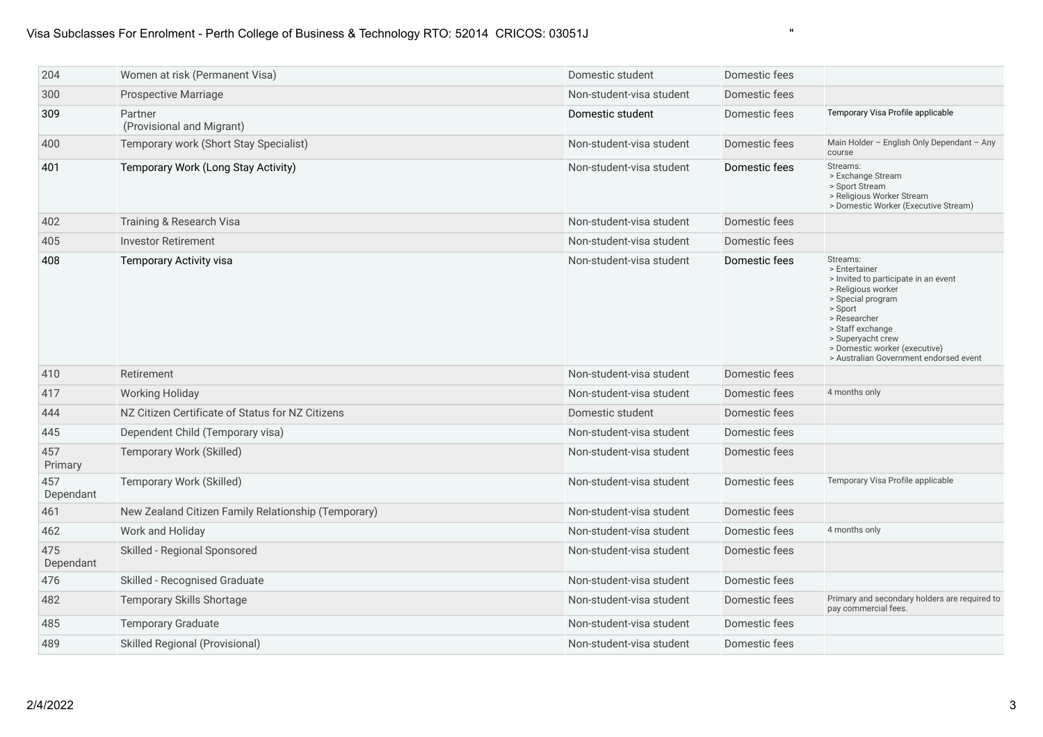## Visa Subclasses For Enrolment - Perth College of Business & Technology RTO: 52014 CRICOS: 03051J "

| 204              | Women at risk (Permanent Visa)                      | Domestic student         | Domestic fees |                                                                                                                                                                                                                                                             |
|------------------|-----------------------------------------------------|--------------------------|---------------|-------------------------------------------------------------------------------------------------------------------------------------------------------------------------------------------------------------------------------------------------------------|
| 300              | <b>Prospective Marriage</b>                         | Non-student-visa student | Domestic fees |                                                                                                                                                                                                                                                             |
| 309              | Partner<br>(Provisional and Migrant)                | Domestic student         | Domestic fees | Temporary Visa Profile applicable                                                                                                                                                                                                                           |
| 400              | Temporary work (Short Stay Specialist)              | Non-student-visa student | Domestic fees | Main Holder - English Only Dependant - Any<br>course                                                                                                                                                                                                        |
| 401              | Temporary Work (Long Stay Activity)                 | Non-student-visa student | Domestic fees | Streams:<br>> Exchange Stream<br>> Sport Stream<br>> Religious Worker Stream<br>> Domestic Worker (Executive Stream)                                                                                                                                        |
| 402              | Training & Research Visa                            | Non-student-visa student | Domestic fees |                                                                                                                                                                                                                                                             |
| 405              | <b>Investor Retirement</b>                          | Non-student-visa student | Domestic fees |                                                                                                                                                                                                                                                             |
| 408              | <b>Temporary Activity visa</b>                      | Non-student-visa student | Domestic fees | Streams:<br>> Entertainer<br>> Invited to participate in an event<br>> Religious worker<br>> Special program<br>> Sport<br>> Researcher<br>> Staff exchange<br>> Superyacht crew<br>> Domestic worker (executive)<br>> Australian Government endorsed event |
| 410              | Retirement                                          | Non-student-visa student | Domestic fees |                                                                                                                                                                                                                                                             |
| 417              | <b>Working Holiday</b>                              | Non-student-visa student | Domestic fees | 4 months only                                                                                                                                                                                                                                               |
| 444              | NZ Citizen Certificate of Status for NZ Citizens    | Domestic student         | Domestic fees |                                                                                                                                                                                                                                                             |
| 445              | Dependent Child (Temporary visa)                    | Non-student-visa student | Domestic fees |                                                                                                                                                                                                                                                             |
| 457<br>Primary   | Temporary Work (Skilled)                            | Non-student-visa student | Domestic fees |                                                                                                                                                                                                                                                             |
| 457<br>Dependant | Temporary Work (Skilled)                            | Non-student-visa student | Domestic fees | Temporary Visa Profile applicable                                                                                                                                                                                                                           |
| 461              | New Zealand Citizen Family Relationship (Temporary) | Non-student-visa student | Domestic fees |                                                                                                                                                                                                                                                             |
| 462              | Work and Holiday                                    | Non-student-visa student | Domestic fees | 4 months only                                                                                                                                                                                                                                               |
| 475<br>Dependant | Skilled - Regional Sponsored                        | Non-student-visa student | Domestic fees |                                                                                                                                                                                                                                                             |
| 476              | Skilled - Recognised Graduate                       | Non-student-visa student | Domestic fees |                                                                                                                                                                                                                                                             |
| 482              | Temporary Skills Shortage                           | Non-student-visa student | Domestic fees | Primary and secondary holders are required to<br>pay commercial fees.                                                                                                                                                                                       |
| 485              | <b>Temporary Graduate</b>                           | Non-student-visa student | Domestic fees |                                                                                                                                                                                                                                                             |
| 489              | Skilled Regional (Provisional)                      | Non-student-visa student | Domestic fees |                                                                                                                                                                                                                                                             |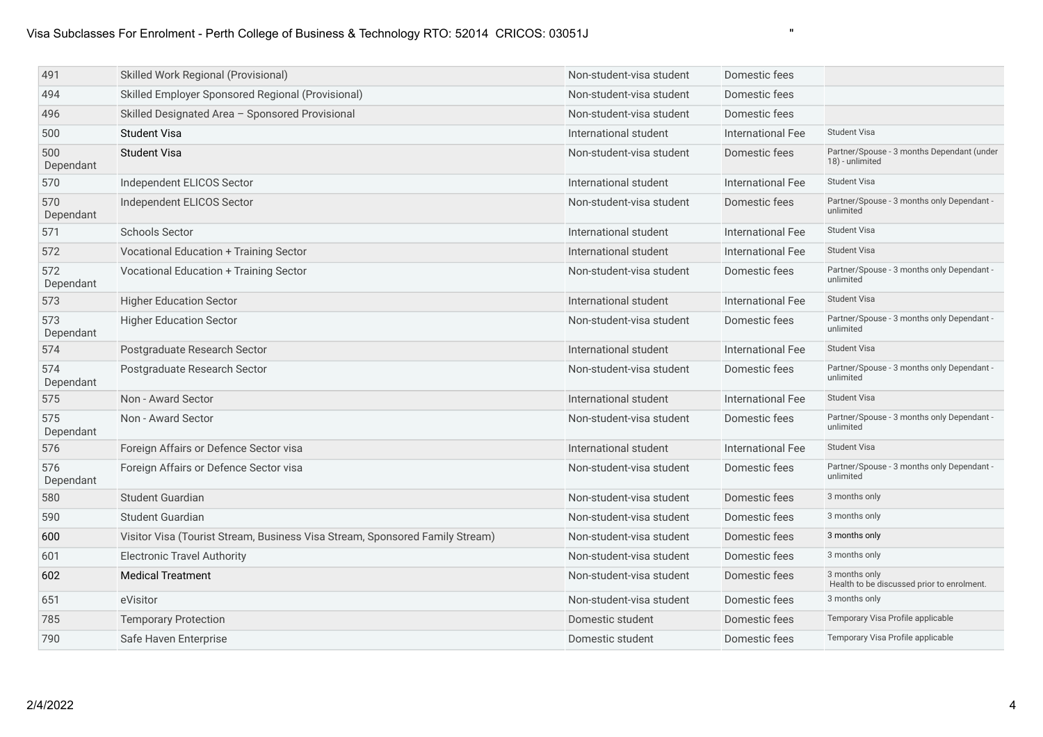| 491              | Skilled Work Regional (Provisional)                                          | Non-student-visa student | Domestic fees            |                                                               |
|------------------|------------------------------------------------------------------------------|--------------------------|--------------------------|---------------------------------------------------------------|
| 494              | Skilled Employer Sponsored Regional (Provisional)                            | Non-student-visa student | Domestic fees            |                                                               |
| 496              | Skilled Designated Area - Sponsored Provisional                              | Non-student-visa student | Domestic fees            |                                                               |
| 500              | <b>Student Visa</b>                                                          | International student    | <b>International Fee</b> | <b>Student Visa</b>                                           |
| 500<br>Dependant | <b>Student Visa</b>                                                          | Non-student-visa student | Domestic fees            | Partner/Spouse - 3 months Dependant (under<br>18) - unlimited |
| 570              | Independent ELICOS Sector                                                    | International student    | <b>International Fee</b> | <b>Student Visa</b>                                           |
| 570<br>Dependant | Independent ELICOS Sector                                                    | Non-student-visa student | Domestic fees            | Partner/Spouse - 3 months only Dependant -<br>unlimited       |
| 571              | <b>Schools Sector</b>                                                        | International student    | <b>International Fee</b> | <b>Student Visa</b>                                           |
| 572              | <b>Vocational Education + Training Sector</b>                                | International student    | International Fee        | <b>Student Visa</b>                                           |
| 572<br>Dependant | Vocational Education + Training Sector                                       | Non-student-visa student | Domestic fees            | Partner/Spouse - 3 months only Dependant -<br>unlimited       |
| 573              | <b>Higher Education Sector</b>                                               | International student    | <b>International Fee</b> | <b>Student Visa</b>                                           |
| 573<br>Dependant | <b>Higher Education Sector</b>                                               | Non-student-visa student | Domestic fees            | Partner/Spouse - 3 months only Dependant -<br>unlimited       |
| 574              | Postgraduate Research Sector                                                 | International student    | <b>International Fee</b> | <b>Student Visa</b>                                           |
| 574<br>Dependant | Postgraduate Research Sector                                                 | Non-student-visa student | Domestic fees            | Partner/Spouse - 3 months only Dependant -<br>unlimited       |
| 575              | Non - Award Sector                                                           | International student    | <b>International Fee</b> | <b>Student Visa</b>                                           |
| 575<br>Dependant | Non - Award Sector                                                           | Non-student-visa student | Domestic fees            | Partner/Spouse - 3 months only Dependant -<br>unlimited       |
| 576              | Foreign Affairs or Defence Sector visa                                       | International student    | <b>International Fee</b> | <b>Student Visa</b>                                           |
| 576<br>Dependant | Foreign Affairs or Defence Sector visa                                       | Non-student-visa student | Domestic fees            | Partner/Spouse - 3 months only Dependant -<br>unlimited       |
| 580              | Student Guardian                                                             | Non-student-visa student | Domestic fees            | 3 months only                                                 |
| 590              | <b>Student Guardian</b>                                                      | Non-student-visa student | Domestic fees            | 3 months only                                                 |
| 600              | Visitor Visa (Tourist Stream, Business Visa Stream, Sponsored Family Stream) | Non-student-visa student | Domestic fees            | 3 months only                                                 |
| 601              | <b>Electronic Travel Authority</b>                                           | Non-student-visa student | Domestic fees            | 3 months only                                                 |
| 602              | <b>Medical Treatment</b>                                                     | Non-student-visa student | Domestic fees            | 3 months only<br>Health to be discussed prior to enrolment.   |
| 651              | eVisitor                                                                     | Non-student-visa student | Domestic fees            | 3 months only                                                 |
| 785              | <b>Temporary Protection</b>                                                  | Domestic student         | Domestic fees            | Temporary Visa Profile applicable                             |
| 790              | Safe Haven Enterprise                                                        | Domestic student         | Domestic fees            | Temporary Visa Profile applicable                             |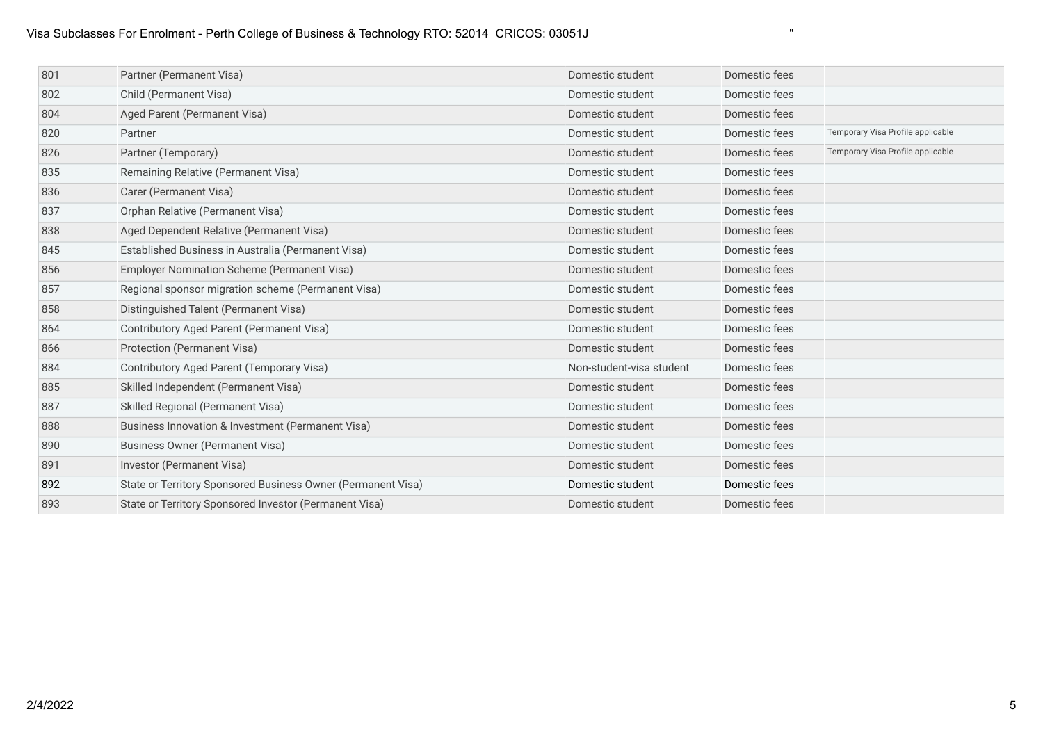## Visa Subclasses For Enrolment - Perth College of Business & Technology RTO: 52014 CRICOS: 03051J "

| 801 | Partner (Permanent Visa)                                     | Domestic student         | Domestic fees |                                   |
|-----|--------------------------------------------------------------|--------------------------|---------------|-----------------------------------|
| 802 | Child (Permanent Visa)                                       | Domestic student         | Domestic fees |                                   |
| 804 | Aged Parent (Permanent Visa)                                 | Domestic student         | Domestic fees |                                   |
| 820 | Partner                                                      | Domestic student         | Domestic fees | Temporary Visa Profile applicable |
| 826 | Partner (Temporary)                                          | Domestic student         | Domestic fees | Temporary Visa Profile applicable |
| 835 | Remaining Relative (Permanent Visa)                          | Domestic student         | Domestic fees |                                   |
| 836 | Carer (Permanent Visa)                                       | Domestic student         | Domestic fees |                                   |
| 837 | Orphan Relative (Permanent Visa)                             | Domestic student         | Domestic fees |                                   |
| 838 | Aged Dependent Relative (Permanent Visa)                     | Domestic student         | Domestic fees |                                   |
| 845 | Established Business in Australia (Permanent Visa)           | Domestic student         | Domestic fees |                                   |
| 856 | Employer Nomination Scheme (Permanent Visa)                  | Domestic student         | Domestic fees |                                   |
| 857 | Regional sponsor migration scheme (Permanent Visa)           | Domestic student         | Domestic fees |                                   |
| 858 | Distinguished Talent (Permanent Visa)                        | Domestic student         | Domestic fees |                                   |
| 864 | Contributory Aged Parent (Permanent Visa)                    | Domestic student         | Domestic fees |                                   |
| 866 | Protection (Permanent Visa)                                  | Domestic student         | Domestic fees |                                   |
| 884 | Contributory Aged Parent (Temporary Visa)                    | Non-student-visa student | Domestic fees |                                   |
| 885 | Skilled Independent (Permanent Visa)                         | Domestic student         | Domestic fees |                                   |
| 887 | Skilled Regional (Permanent Visa)                            | Domestic student         | Domestic fees |                                   |
| 888 | Business Innovation & Investment (Permanent Visa)            | Domestic student         | Domestic fees |                                   |
| 890 | <b>Business Owner (Permanent Visa)</b>                       | Domestic student         | Domestic fees |                                   |
| 891 | Investor (Permanent Visa)                                    | Domestic student         | Domestic fees |                                   |
| 892 | State or Territory Sponsored Business Owner (Permanent Visa) | Domestic student         | Domestic fees |                                   |
| 893 | State or Territory Sponsored Investor (Permanent Visa)       | Domestic student         | Domestic fees |                                   |